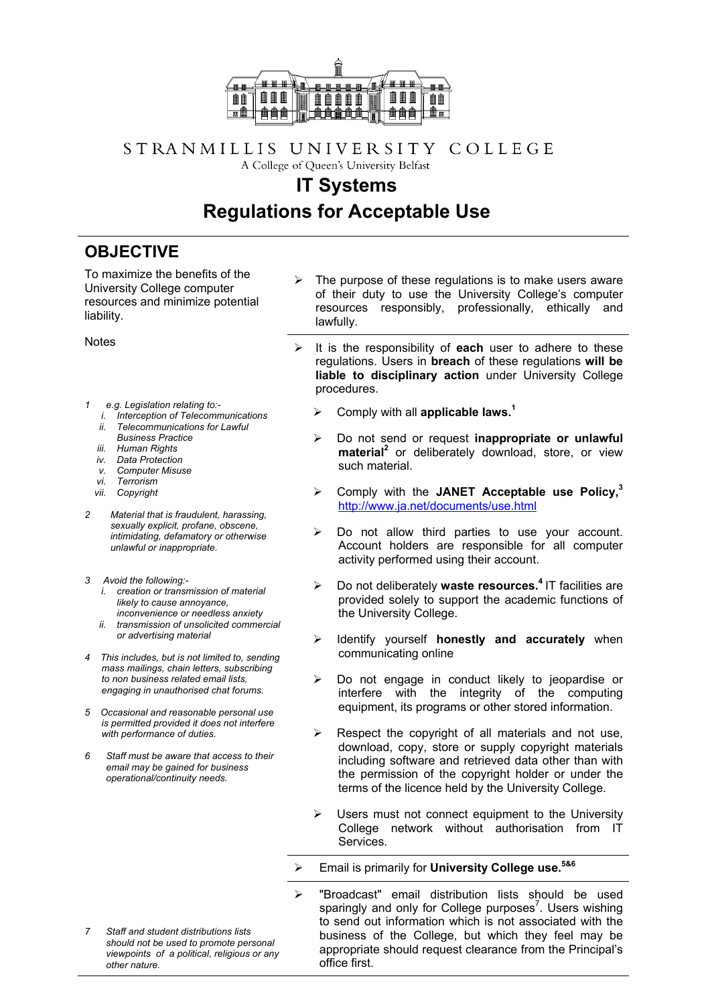

## STRANMILLIS UNIVERSITY COLLEGE A College of Queen's University Belfast

## **IT Systems Regulations for Acceptable Use**

## **OBJECTIVE**

To maximize the benefits of the University College computer resources and minimize potential liability.

- *1 e.g. Legislation relating to:* 
	- *i. Interception of Telecommunications*
	- *ii. Telecommunications for Lawful*
	- *Business Practice*
- *iii. Human Rights*
- *iv. Data Protection*
- *v. Computer Misuse*
- *vi. Terrorism vii. Copyright*
- *2 Material that is fraudulent, harassing,*
- *sexually explicit, profane, obscene, intimidating, defamatory or otherwise unlawful or inappropriate.*
- *3 Avoid the following:* 
	- *i. creation or transmission of material likely to cause annoyance, inconvenience or needless anxiety*
	- *ii. transmission of unsolicited commercial or advertising material*
- *4 This includes, but is not limited to, sending mass mailings, chain letters, subscribing to non business related email lists, engaging in unauthorised chat forums.*
- *5 Occasional and reasonable personal use is permitted provided it does not interfere with performance of duties.*
- *6 Staff must be aware that access to their email may be gained for business operational/continuity needs.*
- The purpose of these regulations is to make users aware of their duty to use the University College's computer resources responsibly, professionally, ethically and lawfully.
- Notes **Notes All is the responsibility of each** user to adhere to these regulations. Users in **breach** of these regulations **will be liable to disciplinary action** under University College procedures.
	- ¾ Comply with all **applicable laws. 1**
	- ¾ Do not send or request **inappropriate or unlawful** material<sup>2</sup> or deliberately download, store, or view such material.
	- ¾ Comply with the **JANET Acceptable use Policy, 3** <http://www.ja.net/documents/use.html>
	- $\triangleright$  Do not allow third parties to use your account. Account holders are responsible for all computer activity performed using their account.
	- ¾ Do not deliberately **waste resources.4** IT facilities are provided solely to support the academic functions of the University College.
	- Identify yourself **honestly and accurately** when communicating online
	- $\triangleright$  Do not engage in conduct likely to jeopardise or interfere with the integrity of the computing equipment, its programs or other stored information.
	- $\triangleright$  Respect the copyright of all materials and not use, download, copy, store or supply copyright materials including software and retrieved data other than with the permission of the copyright holder or under the terms of the licence held by the University College.
	- $\triangleright$  Users must not connect equipment to the University College network without authorisation from IT Services.
	- ¾ Email is primarily for **University College use.5&6**
	- ¾ "Broadcast" email distribution lists should be used sparingly and only for College purposes<sup>7</sup>. Users wishing to send out information which is not associated with the business of the College, but which they feel may be appropriate should request clearance from the Principal's office first.
- *7 Staff and student distributions lists should not be used to promote personal viewpoints of a political, religious or any other nature.*